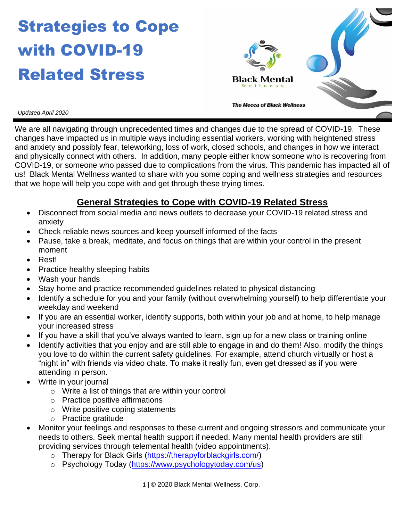# Strategies to Cope with COVID-19 Related Stress



*Updated April 2020*

We are all navigating through unprecedented times and changes due to the spread of COVID-19. These changes have impacted us in multiple ways including essential workers, working with heightened stress and anxiety and possibly fear, teleworking, loss of work, closed schools, and changes in how we interact and physically connect with others. In addition, many people either know someone who is recovering from COVID-19, or someone who passed due to complications from the virus. This pandemic has impacted all of us! Black Mental Wellness wanted to share with you some coping and wellness strategies and resources that we hope will help you cope with and get through these trying times.

### **General Strategies to Cope with COVID-19 Related Stress**

- Disconnect from social media and news outlets to decrease your COVID-19 related stress and anxiety
- Check reliable news sources and keep yourself informed of the facts
- Pause, take a break, meditate, and focus on things that are within your control in the present moment
- Rest!
- Practice healthy sleeping habits
- Wash your hands
- Stay home and practice recommended guidelines related to physical distancing
- Identify a schedule for you and your family (without overwhelming yourself) to help differentiate your weekday and weekend
- If you are an essential worker, identify supports, both within your job and at home, to help manage your increased stress
- If you have a skill that you've always wanted to learn, sign up for a new class or training online
- Identify activities that you enjoy and are still able to engage in and do them! Also, modify the things you love to do within the current safety guidelines. For example, attend church virtually or host a "night in" with friends via video chats. To make it really fun, even get dressed as if you were attending in person.
- Write in your journal
	- o Write a list of things that are within your control
	- o Practice positive affirmations
	- o Write positive coping statements
	- o Practice gratitude
- Monitor your feelings and responses to these current and ongoing stressors and communicate your needs to others. Seek mental health support if needed. Many mental health providers are still providing services through telemental health (video appointments).
	- o Therapy for Black Girls [\(https://therapyforblackgirls.com/\)](https://therapyforblackgirls.com/)
	- o Psychology Today [\(https://www.psychologytoday.com/us\)](https://www.psychologytoday.com/us)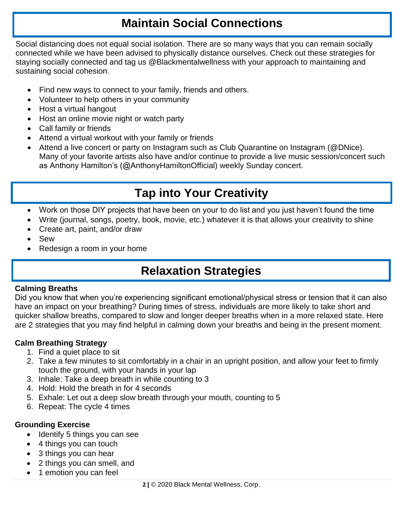### **Maintain Social Connections**

Social distancing does not equal social isolation. There are so many ways that you can remain socially connected while we have been advised to physically distance ourselves. Check out these strategies for staying socially connected and tag us @Blackmentalwellness with your approach to maintaining and sustaining social cohesion.

- Find new ways to connect to your family, friends and others.
- Volunteer to help others in your community
- Host a virtual hangout
- Host an online movie night or watch party
- Call family or friends
- Attend a virtual workout with your family or friends
- Attend a live concert or party on Instagram such as Club Quarantine on Instagram (@DNice). Many of your favorite artists also have and/or continue to provide a live music session/concert such as Anthony Hamilton's (@AnthonyHamiltonOfficial) weekly Sunday concert.

# **Tap into Your Creativity**

- Work on those DIY projects that have been on your to do list and you just haven't found the time
- Write (journal, songs, poetry, book, movie, etc.) whatever it is that allows your creativity to shine
- Create art, paint, and/or draw
- Sew
- Redesign a room in your home

### **Relaxation Strategies**

#### **Calming Breaths**

Did you know that when you're experiencing significant emotional/physical stress or tension that it can also have an impact on your breathing? During times of stress, individuals are more likely to take short and quicker shallow breaths, compared to slow and longer deeper breaths when in a more relaxed state. Here are 2 strategies that you may find helpful in calming down your breaths and being in the present moment.

#### **Calm Breathing Strategy**

- 1. Find a quiet place to sit
- 2. Take a few minutes to sit comfortably in a chair in an upright position, and allow your feet to firmly touch the ground, with your hands in your lap
- 3. Inhale: Take a deep breath in while counting to 3
- 4. Hold: Hold the breath in for 4 seconds
- 5. Exhale: Let out a deep slow breath through your mouth, counting to 5
- 6. Repeat: The cycle 4 times

#### **Grounding Exercise**

- Identify 5 things you can see
- 4 things you can touch
- 3 things you can hear
- 2 things you can smell, and
- 1 emotion you can feel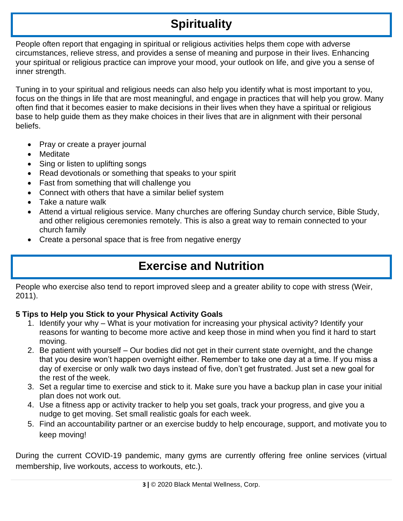# **Spirituality**

People often report that engaging in spiritual or religious activities helps them cope with adverse circumstances, relieve stress, and provides a sense of meaning and purpose in their lives. Enhancing your spiritual or religious practice can improve your mood, your outlook on life, and give you a sense of inner strength.

Tuning in to your spiritual and religious needs can also help you identify what is most important to you, focus on the things in life that are most meaningful, and engage in practices that will help you grow. Many often find that it becomes easier to make decisions in their lives when they have a spiritual or religious base to help guide them as they make choices in their lives that are in alignment with their personal beliefs.

- Pray or create a prayer journal
- Meditate
- Sing or listen to uplifting songs
- Read devotionals or something that speaks to your spirit
- Fast from something that will challenge you
- Connect with others that have a similar belief system
- Take a nature walk
- Attend a virtual religious service. Many churches are offering Sunday church service, Bible Study, and other religious ceremonies remotely. This is also a great way to remain connected to your church family
- Create a personal space that is free from negative energy

# **Exercise and Nutrition**

People who exercise also tend to report improved sleep and a greater ability to cope with stress (Weir, 2011).

### **5 Tips to Help you Stick to your Physical Activity Goals**

- 1. Identify your why What is your motivation for increasing your physical activity? Identify your reasons for wanting to become more active and keep those in mind when you find it hard to start moving.
- 2. Be patient with yourself Our bodies did not get in their current state overnight, and the change that you desire won't happen overnight either. Remember to take one day at a time. If you miss a day of exercise or only walk two days instead of five, don't get frustrated. Just set a new goal for the rest of the week.
- 3. Set a regular time to exercise and stick to it. Make sure you have a backup plan in case your initial plan does not work out.
- 4. Use a fitness app or activity tracker to help you set goals, track your progress, and give you a nudge to get moving. Set small realistic goals for each week.
- 5. Find an accountability partner or an exercise buddy to help encourage, support, and motivate you to keep moving!

During the current COVID-19 pandemic, many gyms are currently offering free online services (virtual membership, live workouts, access to workouts, etc.).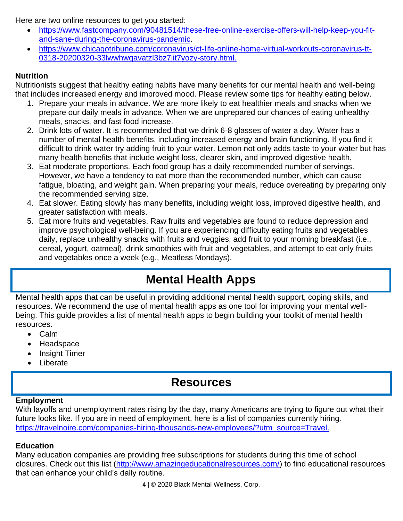Here are two online resources to get you started:

- [https://www.fastcompany.com/90481514/these-free-online-exercise-offers-will-help-keep-you-fit](https://www.fastcompany.com/90481514/these-free-online-exercise-offers-will-help-keep-you-fit-and-sane-during-the-coronavirus-pandemic)[and-sane-during-the-coronavirus-pandemic.](https://www.fastcompany.com/90481514/these-free-online-exercise-offers-will-help-keep-you-fit-and-sane-during-the-coronavirus-pandemic)
- [https://www.chicagotribune.com/coronavirus/ct-life-online-home-virtual-workouts-coronavirus-tt-](https://www.chicagotribune.com/coronavirus/ct-life-online-home-virtual-workouts-coronavirus-tt-0318-20200320-33lwwhwqavatzl3bz7jit7yozy-story.html)[0318-20200320-33lwwhwqavatzl3bz7jit7yozy-story.html.](https://www.chicagotribune.com/coronavirus/ct-life-online-home-virtual-workouts-coronavirus-tt-0318-20200320-33lwwhwqavatzl3bz7jit7yozy-story.html)

### **Nutrition**

Nutritionists suggest that healthy eating habits have many benefits for our mental health and well-being that includes increased energy and improved mood. Please review some tips for healthy eating below.

- 1. Prepare your meals in advance. We are more likely to eat healthier meals and snacks when we prepare our daily meals in advance. When we are unprepared our chances of eating unhealthy meals, snacks, and fast food increase.
- 2. Drink lots of water. It is recommended that we drink 6-8 glasses of water a day. Water has a number of mental health benefits, including increased energy and brain functioning. If you find it difficult to drink water try adding fruit to your water. Lemon not only adds taste to your water but has many health benefits that include weight loss, clearer skin, and improved digestive health.
- 3. Eat moderate proportions. Each food group has a daily recommended number of servings. However, we have a tendency to eat more than the recommended number, which can cause fatigue, bloating, and weight gain. When preparing your meals, reduce overeating by preparing only the recommended serving size.
- 4. Eat slower. Eating slowly has many benefits, including weight loss, improved digestive health, and greater satisfaction with meals.
- 5. Eat more fruits and vegetables. Raw fruits and vegetables are found to reduce depression and improve psychological well-being. If you are experiencing difficulty eating fruits and vegetables daily, replace unhealthy snacks with fruits and veggies, add fruit to your morning breakfast (i.e., cereal, yogurt, oatmeal), drink smoothies with fruit and vegetables, and attempt to eat only fruits and vegetables once a week (e.g., Meatless Mondays).

# **Mental Health Apps**

Mental health apps that can be useful in providing additional mental health support, coping skills, and resources. We recommend the use of mental health apps as one tool for improving your mental wellbeing. This guide provides a list of mental health apps to begin building your toolkit of mental health resources.

- Calm
- Headspace
- Insight Timer
- Liberate

### **Resources**

#### **Employment**

With layoffs and unemployment rates rising by the day, many Americans are trying to figure out what their future looks like. If you are in need of employment, here is a list of companies currently hiring. [https://travelnoire.com/companies-hiring-thousands-new-employees/?utm\\_source=Travel.](https://travelnoire.com/companies-hiring-thousands-new-employees/?utm_source=Travel.)

### **Education**

Many education companies are providing free subscriptions for students during this time of school closures. Check out this list [\(http://www.amazingeducationalresources.com/\)](http://www.amazingeducationalresources.com/) to find educational resources that can enhance your child's daily routine.